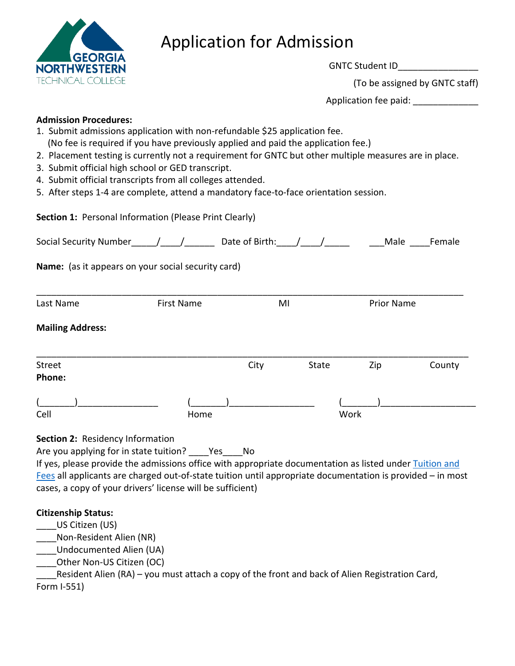

# Application for Admission

GNTC Student ID\_\_\_\_\_\_\_\_\_\_\_\_\_\_\_\_ (To be assigned by GNTC staff) Application fee paid: \_\_\_\_\_\_\_\_\_\_\_\_\_

## **Admission Procedures:**

- 1. Submit admissions application with non-refundable \$25 application fee. (No fee is required if you have previously applied and paid the application fee.)
- 2. Placement testing is currently not a requirement for GNTC but other multiple measures are in place.
- 3. Submit official high school or GED transcript.
- 4. Submit official transcripts from all colleges attended.
- 5. After steps 1-4 are complete, attend a mandatory face-to-face orientation session.

Section 1: Personal Information (Please Print Clearly)

| <b>Social Security Number</b>    |                                                                                                                                                          | Date of Birth: / |              | Male              | Female |
|----------------------------------|----------------------------------------------------------------------------------------------------------------------------------------------------------|------------------|--------------|-------------------|--------|
|                                  | Name: (as it appears on your social security card)                                                                                                       |                  |              |                   |        |
| Last Name                        | <b>First Name</b>                                                                                                                                        | MI               |              | <b>Prior Name</b> |        |
| <b>Mailing Address:</b>          |                                                                                                                                                          |                  |              |                   |        |
| <b>Street</b><br>Phone:          |                                                                                                                                                          | City             | <b>State</b> | Zip               | County |
| Cell                             | Home                                                                                                                                                     |                  |              | Work              |        |
| Section 2: Residency Information | Are you applying for in state tuition? Yes No<br>If yes, please provide the admissions office with appropriate documentation as listed under Tuition and |                  |              |                   |        |

[Fees](http://www.gntc.edu/admissions/tuition-fees/) all applicants are charged out-of-state tuition until appropriate documentation is provided - in most cases, a copy of your drivers' license will be sufficient)

# **Citizenship Status:**

- \_\_\_\_US Citizen (US)
- \_\_\_\_Non-Resident Alien (NR)
- \_\_\_\_Undocumented Alien (UA)
- \_\_\_\_Other Non-US Citizen (OC)

\_\_\_\_Resident Alien (RA) – you must attach a copy of the front and back of Alien Registration Card, Form I-551)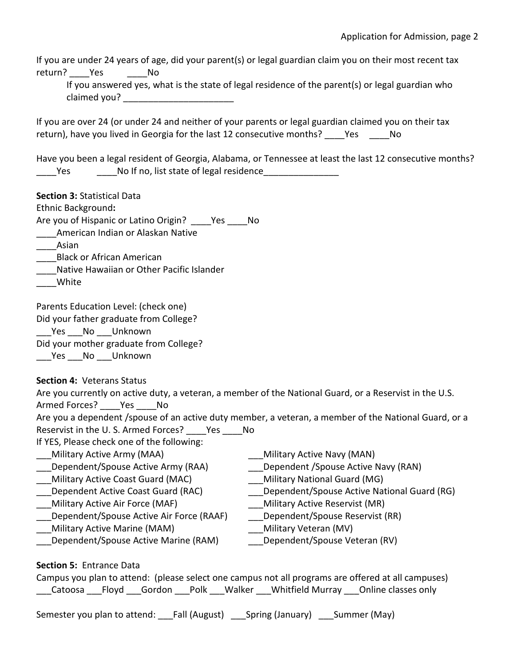If you are under 24 years of age, did your parent(s) or legal guardian claim you on their most recent tax return? Yes No

If you answered yes, what is the state of legal residence of the parent(s) or legal guardian who claimed you? **Example 20** 

 If you are over 24 (or under 24 and neither of your parents or legal guardian claimed you on their tax return), have you lived in Georgia for the last 12 consecutive months? \_\_\_\_Yes \_\_\_\_\_No

 Have you been a legal resident of Georgia, Alabama, or Tennessee at least the last 12 consecutive months? Yes No If no, list state of legal residence

**Section 3:** Statistical Data

Ethnic Background**:** 

Are you of Hispanic or Latino Origin? \_\_\_\_Yes \_\_\_\_No

\_\_\_\_\_American Indian or Alaskan Native<br>\_\_\_\_\_Asian

- \_\_\_\_Black or African American
- \_\_\_\_Native Hawaiian or Other Pacific Islander
- \_\_\_\_White

Parents Education Level: (check one)

Did your father graduate from College?

Yes No Unknown

Did your mother graduate from College?

\_\_\_\_Yes \_\_\_ No Unknown

 **Section 4:** Veterans Status

 Are you currently on active duty, a veteran, a member of the National Guard, or a Reservist in the U.S. \_\_\_Military Active Army (MAA) \_\_\_Dependent/Spouse Active Army (RAA) \_\_\_Military Active Coast Guard (MAC) \_\_\_Dependent Active Coast Guard (RAC) Military Active Air Force (MAF) Military Active Marine (MAM) Armed Forces? Yes No Are you a dependent /spouse of an active duty member, a veteran, a member of the National Guard, or a Reservist in the U. S. Armed Forces? \_\_\_\_Yes \_\_\_\_No If YES, Please check one of the following: Dependent/Spouse Active Air Force (RAAF) \_\_\_Military Active Navy (MAN) Dependent /Spouse Active Navy (RAN) \_\_\_Military National Guard (MG) \_\_\_Dependent/Spouse Active National Guard (RG) \_\_\_Military Active Reservist (MR) \_\_\_Dependent/Spouse Reservist (RR)

- Dependent/Spouse Active Marine (RAM)
- \_\_\_Military Veteran (MV)
	- Dependent/Spouse Veteran (RV)

 **Section 5:** Entrance Data

 Campus you plan to attend: (please select one campus not all programs are offered at all campuses) \_\_\_Catoosa \_\_\_Floyd \_\_\_Gordon \_\_\_Polk \_\_\_Walker \_\_\_Whitfield Murray \_\_\_Online classes only

Semester you plan to attend: \_\_\_Fall (August) \_\_\_Spring (January) \_\_\_Summer (May)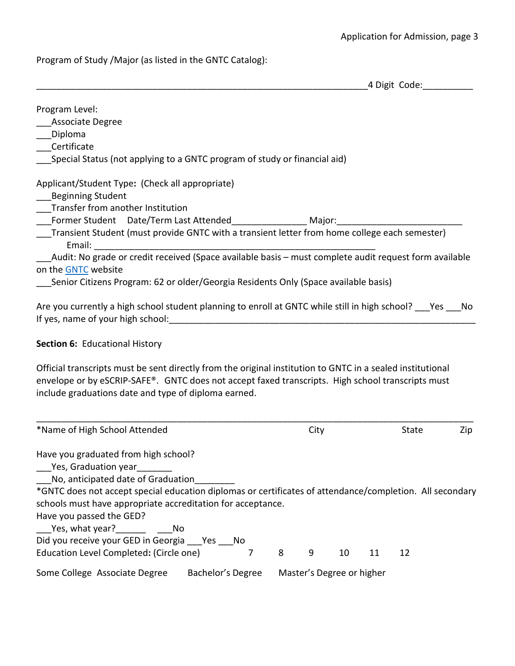Program of Study /Major (as listed in the GNTC Catalog):

|                                                                                               | 4 Digit Code:                                                                                                 |
|-----------------------------------------------------------------------------------------------|---------------------------------------------------------------------------------------------------------------|
| Program Level:                                                                                |                                                                                                               |
| <b>Associate Degree</b>                                                                       |                                                                                                               |
| Diploma                                                                                       |                                                                                                               |
| Certificate                                                                                   |                                                                                                               |
| Special Status (not applying to a GNTC program of study or financial aid)                     |                                                                                                               |
| Applicant/Student Type: (Check all appropriate)                                               |                                                                                                               |
| <b>Beginning Student</b>                                                                      |                                                                                                               |
| Transfer from another Institution                                                             |                                                                                                               |
| Former Student Date/Term Last Attended The Major:                                             |                                                                                                               |
| Transient Student (must provide GNTC with a transient letter from home college each semester) |                                                                                                               |
| Email:                                                                                        |                                                                                                               |
|                                                                                               | Audit: No grade or credit received (Space available basis - must complete audit request form available        |
| on the GNTC website                                                                           |                                                                                                               |
| Senior Citizens Program: 62 or older/Georgia Residents Only (Space available basis)           |                                                                                                               |
|                                                                                               | Are you currently a high school student planning to enroll at GNTC while still in high school? ___ Yes ___ No |
| If yes, name of your high school:                                                             |                                                                                                               |

#### **Section 6:** Educational History

Official transcripts must be sent directly from the original institution to GNTC in a sealed institutional envelope or by eSCRIP-SAFE®. GNTC does not accept faxed transcripts. High school transcripts must include graduations date and type of diploma earned.

| *Name of High School Attended                                                                            |                   |   | City |                           |    | State | Zip |
|----------------------------------------------------------------------------------------------------------|-------------------|---|------|---------------------------|----|-------|-----|
| Have you graduated from high school?                                                                     |                   |   |      |                           |    |       |     |
| Yes, Graduation year                                                                                     |                   |   |      |                           |    |       |     |
| No, anticipated date of Graduation                                                                       |                   |   |      |                           |    |       |     |
| *GNTC does not accept special education diplomas or certificates of attendance/completion. All secondary |                   |   |      |                           |    |       |     |
| schools must have appropriate accreditation for acceptance.                                              |                   |   |      |                           |    |       |     |
| Have you passed the GED?                                                                                 |                   |   |      |                           |    |       |     |
|                                                                                                          |                   |   |      |                           |    |       |     |
| Did you receive your GED in Georgia Yes No                                                               |                   |   |      |                           |    |       |     |
| Education Level Completed: (Circle one)                                                                  |                   | 8 | 9    | 10                        | 11 | 12    |     |
| Some College Associate Degree                                                                            | Bachelor's Degree |   |      | Master's Degree or higher |    |       |     |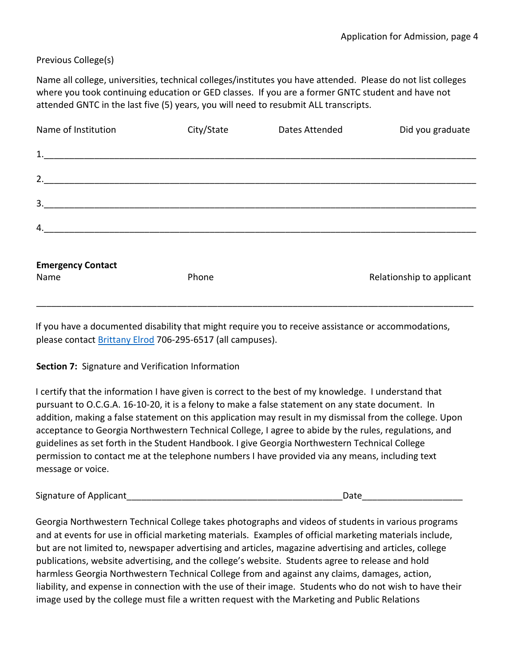## Previous College(s)

 Name all college, universities, technical colleges/institutes you have attended. Please do not list colleges where you took continuing education or GED classes. If you are a former GNTC student and have not attended GNTC in the last five (5) years, you will need to resubmit ALL transcripts.

| Name of Institution              | City/State | Dates Attended | Did you graduate          |
|----------------------------------|------------|----------------|---------------------------|
|                                  |            |                |                           |
| 2.                               |            |                |                           |
| 3.                               |            |                |                           |
| 4.                               |            |                |                           |
| <b>Emergency Contact</b><br>Name | Phone      |                | Relationship to applicant |

please contact **Brittany Elrod 706-295-6517** (all campuses). If you have a documented disability that might require you to receive assistance or accommodations,

#### **Section 7:** Signature and Verification Information

 acceptance to Georgia Northwestern Technical College, I agree to abide by the rules, regulations, and I certify that the information I have given is correct to the best of my knowledge. I understand that pursuant to O.C.G.A. 16-10-20, it is a felony to make a false statement on any state document. In addition, making a false statement on this application may result in my dismissal from the college. Upon guidelines as set forth in the Student Handbook[. I](http://www.gntc.edu/) give Georgia Northwestern Technical College permission to contact me at the telephone numbers I have provided via any means, including text message or voice.

| Signature of Applicant | Date |
|------------------------|------|
|                        |      |

 liability, and expense in connection with the use of their image. Students who do not wish to have their Georgia Northwestern Technical College takes photographs and videos of students in various programs and at events for use in official marketing materials. Examples of official marketing materials include, but are not limited to, newspaper advertising and articles, magazine advertising and articles, college publications, website advertising, and the college's website. Students agree to release and hold harmless Georgia Northwestern Technical College from and against any claims, damages, action, image used by the college must file a written request with the Marketing and Public Relations